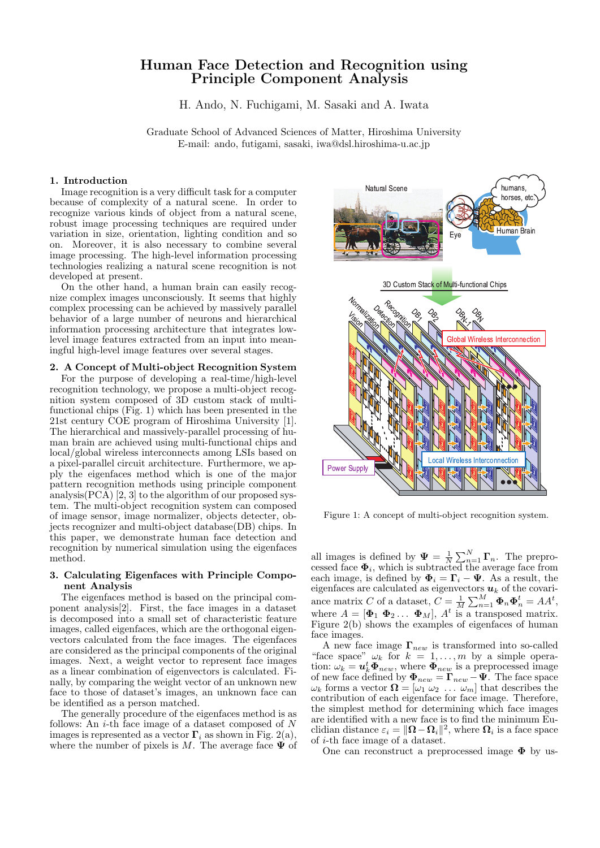# Human Face Detection and Recognition using Principle Component Analysis

H. Ando, N. Fuchigami, M. Sasaki and A. Iwata

Graduate School of Advanced Sciences of Matter, Hiroshima University E-mail: ando, futigami, sasaki, iwa@dsl.hiroshima-u.ac.jp

### 1. Introduction

Image recognition is a very difficult task for a computer because of complexity of a natural scene. In order to recognize various kinds of object from a natural scene, robust image processing techniques are required under variation in size, orientation, lighting condition and so on. Moreover, it is also necessary to combine several image processing. The high-level information processing technologies realizing a natural scene recognition is not developed at present.

On the other hand, a human brain can easily recognize complex images unconsciously. It seems that highly complex processing can be achieved by massively parallel behavior of a large number of neurons and hierarchical information processing architecture that integrates lowlevel image features extracted from an input into meaningful high-level image features over several stages.

### 2. A Concept of Multi-object Recognition System

For the purpose of developing a real-time/high-level recognition technology, we propose a multi-object recognition system composed of 3D custom stack of multifunctional chips (Fig. 1) which has been presented in the 21st century COE program of Hiroshima University [1]. The hierarchical and massively-parallel processing of human brain are achieved using multi-functional chips and local/global wireless interconnects among LSIs based on a pixel-parallel circuit architecture. Furthermore, we apply the eigenfaces method which is one of the major pattern recognition methods using principle component analysis(PCA) [2, 3] to the algorithm of our proposed system. The multi-object recognition system can composed of image sensor, image normalizer, objects detecter, objects recognizer and multi-object database(DB) chips. In this paper, we demonstrate human face detection and recognition by numerical simulation using the eigenfaces method.

### 3. Calculating Eigenfaces with Principle Component Analysis

The eigenfaces method is based on the principal component analysis[2]. First, the face images in a dataset is decomposed into a small set of characteristic feature images, called eigenfaces, which are the orthogonal eigenvectors calculated from the face images. The eigenfaces are considered as the principal components of the original images. Next, a weight vector to represent face images as a linear combination of eigenvectors is calculated. Finally, by comparing the weight vector of an unknown new face to those of dataset's images, an unknown face can be identified as a person matched.

The generally procedure of the eigenfaces method is as follows: An  $i$ -th face image of a dataset composed of  $N$ images is represented as a vector  $\Gamma_i$  as shown in Fig. 2(a), where the number of pixels is M. The average face  $\Psi$  of



Figure 1: A concept of multi-object recognition system.

all images is defined by  $\Psi = \frac{1}{N}$  $\sum_{n=1}^{N} \mathbf{\Gamma}_n$ . The preprocessed face  $\Phi_i$ , which is subtracted the average face from each image, is defined by  $\mathbf{\Phi}_i = \mathbf{\Gamma}_i - \mathbf{\Psi}$ . As a result, the eigenfaces are calculated as eigenvectors  $u_k$  of the covariance matrix C of a dataset,  $C = \frac{1}{M}$  $\sum_{n=1}^{M} \mathbf{\Phi}_n \mathbf{\Phi}_n^t = AA^t,$ where  $A = [\mathbf{\Phi}_1 \ \mathbf{\Phi}_2 \dots \ \mathbf{\Phi}_M]$ ,  $A^t$  is a transposed matrix. Figure 2(b) shows the examples of eigenfaces of human face images.

A new face image  $\Gamma_{new}$  is transformed into so-called "face space"  $\omega_k$  for  $k = 1, \ldots, m$  by a simple operation:  $\omega_k = u_k^t \Phi_{new}$ , where  $\Phi_{new}$  is a preprocessed image of new face defined by  $\mathbf{\Phi}_{new} = \mathbf{\Gamma}_{new} - \mathbf{\Psi}$ . The face space  $\omega_k$  forms a vector  $\mathbf{\Omega} = [\omega_1 \ \omega_2 \ \dots \ \omega_m]$  that describes the contribution of each eigenface for face image. Therefore, the simplest method for determining which face images are identified with a new face is to find the minimum Euclidian distance  $\varepsilon_i = \|\mathbf{\Omega} - \mathbf{\Omega}_i\|^2$ , where  $\mathbf{\Omega}_i$  is a face space of i-th face image of a dataset.

One can reconstruct a preprocessed image  $\Phi$  by us-